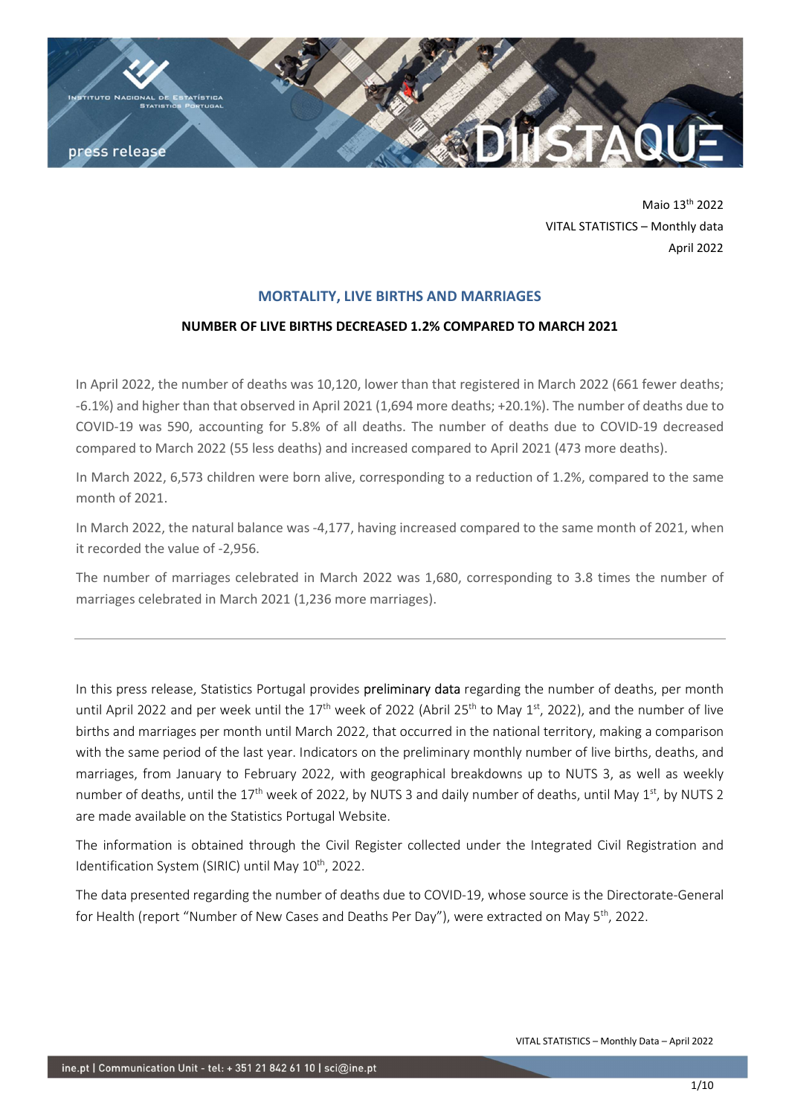

Maio 13th 2022 VITAL STATISTICS – Monthly data April 2022

# MORTALITY, LIVE BIRTHS AND MARRIAGES

## NUMBER OF LIVE BIRTHS DECREASED 1.2% COMPARED TO MARCH 2021

In April 2022, the number of deaths was 10,120, lower than that registered in March 2022 (661 fewer deaths; -6.1%) and higher than that observed in April 2021 (1,694 more deaths; +20.1%). The number of deaths due to COVID-19 was 590, accounting for 5.8% of all deaths. The number of deaths due to COVID-19 decreased compared to March 2022 (55 less deaths) and increased compared to April 2021 (473 more deaths).

In March 2022, 6,573 children were born alive, corresponding to a reduction of 1.2%, compared to the same month of 2021.

In March 2022, the natural balance was -4,177, having increased compared to the same month of 2021, when it recorded the value of -2,956.

The number of marriages celebrated in March 2022 was 1,680, corresponding to 3.8 times the number of marriages celebrated in March 2021 (1,236 more marriages).

In this press release, Statistics Portugal provides preliminary data regarding the number of deaths, per month until April 2022 and per week until the  $17<sup>th</sup>$  week of 2022 (Abril 25<sup>th</sup> to May  $1<sup>st</sup>$ , 2022), and the number of live births and marriages per month until March 2022, that occurred in the national territory, making a comparison with the same period of the last year. Indicators on the preliminary monthly number of live births, deaths, and marriages, from January to February 2022, with geographical breakdowns up to NUTS 3, as well as weekly number of deaths, until the 17<sup>th</sup> week of 2022, by NUTS 3 and daily number of deaths, until May 1<sup>st</sup>, by NUTS 2 are made available on the Statistics Portugal Website.

The information is obtained through the Civil Register collected under the Integrated Civil Registration and Identification System (SIRIC) until May 10<sup>th</sup>, 2022.

The data presented regarding the number of deaths due to COVID-19, whose source is the Directorate-General for Health (report "Number of New Cases and Deaths Per Day"), were extracted on May 5<sup>th</sup>, 2022.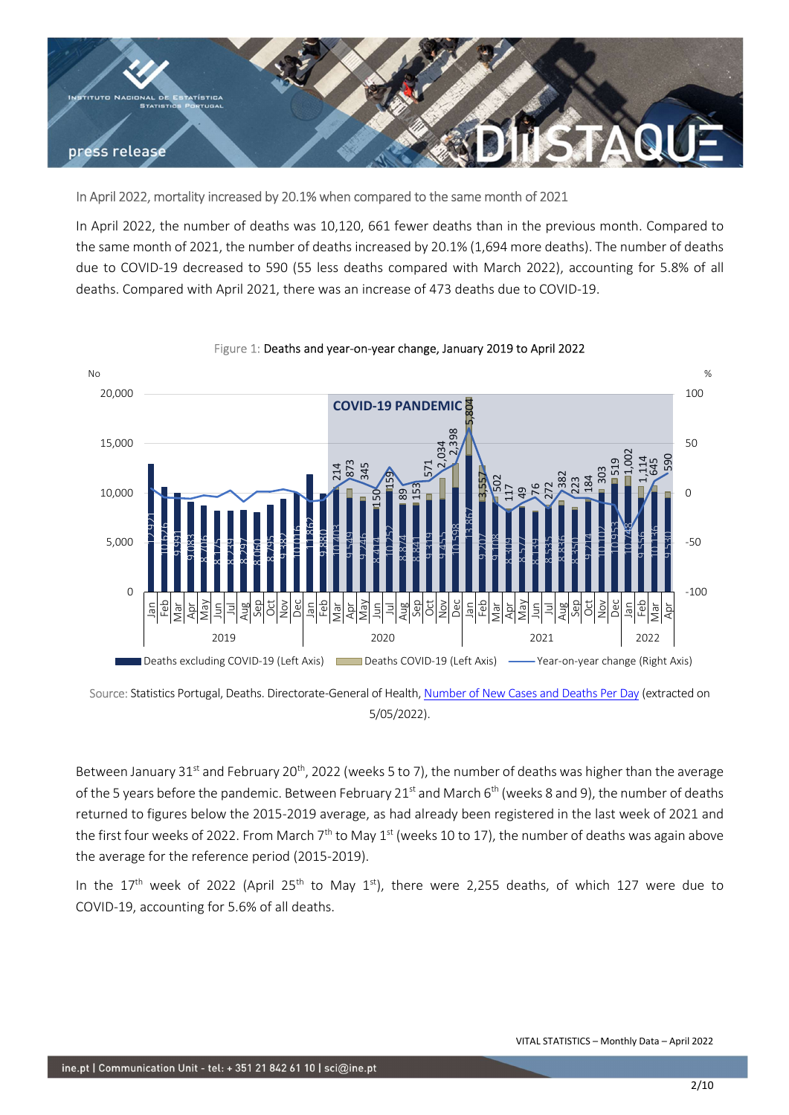

# In April 2022, mortality increased by 20.1% when compared to the same month of 2021

In April 2022, the number of deaths was 10,120, 661 fewer deaths than in the previous month. Compared to the same month of 2021, the number of deaths increased by 20.1% (1,694 more deaths). The number of deaths due to COVID-19 decreased to 590 (55 less deaths compared with March 2022), accounting for 5.8% of all deaths. Compared with April 2021, there was an increase of 473 deaths due to COVID-19.



#### Figure 1: Deaths and year-on-year change, January 2019 to April 2022

Between January 31<sup>st</sup> and February 20<sup>th</sup>, 2022 (weeks 5 to 7), the number of deaths was higher than the average of the 5 years before the pandemic. Between February 21<sup>st</sup> and March  $6<sup>th</sup>$  (weeks 8 and 9), the number of deaths returned to figures below the 2015-2019 average, as had already been registered in the last week of 2021 and the first four weeks of 2022. From March  $7<sup>th</sup>$  to May 1<sup>st</sup> (weeks 10 to 17), the number of deaths was again above the average for the reference period (2015-2019).

In the  $17<sup>th</sup>$  week of 2022 (April 25<sup>th</sup> to May 1<sup>st</sup>), there were 2,255 deaths, of which 127 were due to

Source: Statistics Portugal, Deaths. Directorate-General of Health, Number of New Cases and Deaths Per Day (extracted on 5/05/2022).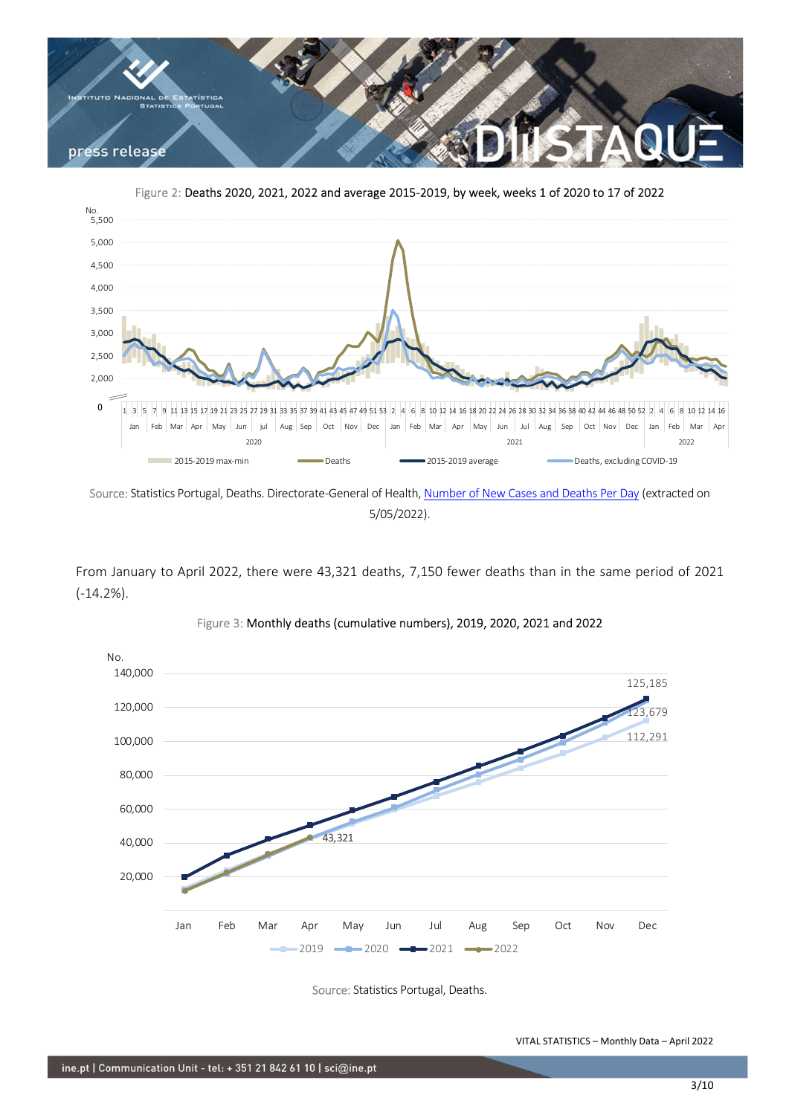

Figure 2: Deaths 2020, 2021, 2022 and average 2015-2019, by week, weeks 1 of 2020 to 17 of 2022



Source: Statistics Portugal, Deaths. Directorate-General of Health, Number of New Cases and Deaths Per Day (extracted on 5/05/2022).

From January to April 2022, there were 43,321 deaths, 7,150 fewer deaths than in the same period of 2021 (-14.2%).



Figure 3: Monthly deaths (cumulative numbers), 2019, 2020, 2021 and 2022

Source: Statistics Portugal, Deaths.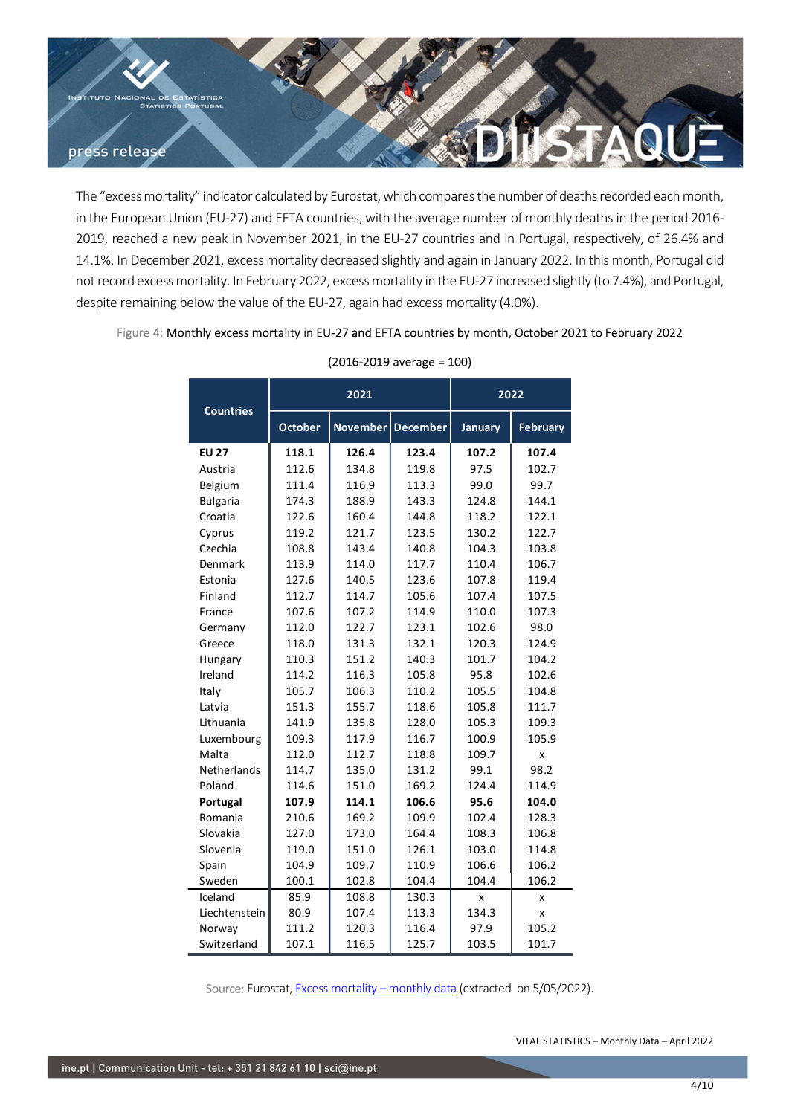

The "excess mortality" indicator calculated by Eurostat, which compares the number of deaths recorded each month, in the European Union (EU-27) and EFTA countries, with the average number of monthly deaths in the period 2016- 2019, reached a new peak in November 2021, in the EU-27 countries and in Portugal, respectively, of 26.4% and 14.1%. In December 2021, excess mortality decreased slightly and again in January 2022. In this month, Portugal did not record excess mortality. In February 2022, excess mortality in the EU-27 increased slightly (to 7.4%), and Portugal, despite remaining below the value of the EU-27, again had excess mortality (4.0%). Idated by Eurostat, which compares the number of deaths recorded each month,<br>
EFTA countries, with the average number of monthly deaths the period 2016-<br>
EFTA countries and in Portugal, respectively, of 26.4% and<br>
ortality

## Figure 4: Monthly excess mortality in EU-27 and EFTA countries by month, October 2021 to February 2022

| v peak in November 2021, in the EU-27 countries and in Portugal, respectively, of 26.4% and<br>2021, excess mortality decreased slightly and again in January 2022. In this month, Portugal did<br>rtality. In February 2022, excess mortality in the EU-27 increased slightly (to 7.4%), and Portugal,<br>low the value of the EU-27, again had excess mortality (4.0%).<br>thly excess mortality in EU-27 and EFTA countries by month, October 2021 to February 2022 |                |                |                               |                |                 |
|------------------------------------------------------------------------------------------------------------------------------------------------------------------------------------------------------------------------------------------------------------------------------------------------------------------------------------------------------------------------------------------------------------------------------------------------------------------------|----------------|----------------|-------------------------------|----------------|-----------------|
|                                                                                                                                                                                                                                                                                                                                                                                                                                                                        |                |                |                               |                |                 |
|                                                                                                                                                                                                                                                                                                                                                                                                                                                                        |                |                |                               |                |                 |
|                                                                                                                                                                                                                                                                                                                                                                                                                                                                        |                |                |                               |                |                 |
|                                                                                                                                                                                                                                                                                                                                                                                                                                                                        |                |                |                               |                |                 |
|                                                                                                                                                                                                                                                                                                                                                                                                                                                                        |                |                |                               |                |                 |
|                                                                                                                                                                                                                                                                                                                                                                                                                                                                        |                |                | $(2016 - 2019$ average = 100) |                |                 |
|                                                                                                                                                                                                                                                                                                                                                                                                                                                                        | 2021           |                |                               | 2022           |                 |
| <b>Countries</b>                                                                                                                                                                                                                                                                                                                                                                                                                                                       | October        |                | November   December           | <b>January</b> | <b>February</b> |
| <b>EU 27</b>                                                                                                                                                                                                                                                                                                                                                                                                                                                           | 118.1          | 126.4          | 123.4                         | 107.2          | 107.4           |
| Austria                                                                                                                                                                                                                                                                                                                                                                                                                                                                | 112.6          | 134.8          | 119.8                         | 97.5           | 102.7           |
| Belgium                                                                                                                                                                                                                                                                                                                                                                                                                                                                | 111.4          | 116.9          | 113.3                         | 99.0           | 99.7            |
| <b>Bulgaria</b>                                                                                                                                                                                                                                                                                                                                                                                                                                                        | 174.3          | 188.9          | 143.3                         | 124.8          | 144.1           |
| Croatia                                                                                                                                                                                                                                                                                                                                                                                                                                                                | 122.6          | 160.4          | 144.8                         | 118.2          | 122.1           |
| Cyprus<br>Czechia                                                                                                                                                                                                                                                                                                                                                                                                                                                      | 119.2<br>108.8 | 121.7<br>143.4 | 123.5<br>140.8                | 130.2<br>104.3 | 122.7<br>103.8  |
| Denmark                                                                                                                                                                                                                                                                                                                                                                                                                                                                | 113.9          | 114.0          | 117.7                         | 110.4          | 106.7           |
| Estonia                                                                                                                                                                                                                                                                                                                                                                                                                                                                | 127.6          | 140.5          | 123.6                         | 107.8          | 119.4           |
| Finland                                                                                                                                                                                                                                                                                                                                                                                                                                                                | 112.7          | 114.7          | 105.6                         | 107.4          | 107.5           |
| France                                                                                                                                                                                                                                                                                                                                                                                                                                                                 | 107.6          | 107.2          | 114.9                         | 110.0          | 107.3           |
| Germany                                                                                                                                                                                                                                                                                                                                                                                                                                                                | 112.0          | 122.7          | 123.1                         | 102.6          | 98.0            |
| Greece                                                                                                                                                                                                                                                                                                                                                                                                                                                                 | 118.0          | 131.3          | 132.1                         | 120.3          | 124.9           |
| Hungary                                                                                                                                                                                                                                                                                                                                                                                                                                                                | 110.3          | 151.2          | 140.3                         | 101.7          | 104.2           |
| Ireland                                                                                                                                                                                                                                                                                                                                                                                                                                                                | 114.2          | 116.3          | 105.8                         | 95.8           | 102.6           |
| Italy                                                                                                                                                                                                                                                                                                                                                                                                                                                                  | 105.7<br>151.3 | 106.3<br>155.7 | 110.2<br>118.6                | 105.5<br>105.8 | 104.8<br>111.7  |
| Latvia<br>Lithuania                                                                                                                                                                                                                                                                                                                                                                                                                                                    | 141.9          | 135.8          | 128.0                         | 105.3          | 109.3           |
| Luxembourg                                                                                                                                                                                                                                                                                                                                                                                                                                                             | 109.3          | 117.9          | 116.7                         | 100.9          | 105.9           |
| Malta                                                                                                                                                                                                                                                                                                                                                                                                                                                                  | 112.0          | 112.7          | 118.8                         | 109.7          | x               |
| Netherlands                                                                                                                                                                                                                                                                                                                                                                                                                                                            | 114.7          | 135.0          | 131.2                         | 99.1           | 98.2            |
| Poland                                                                                                                                                                                                                                                                                                                                                                                                                                                                 | 114.6          | 151.0          | 169.2                         | 124.4          | 114.9           |
| Portugal                                                                                                                                                                                                                                                                                                                                                                                                                                                               | 107.9          | 114.1          | 106.6                         | 95.6           | 104.0           |
| Romania                                                                                                                                                                                                                                                                                                                                                                                                                                                                | 210.6          | 169.2          | 109.9                         | 102.4          | 128.3           |
| Slovakia                                                                                                                                                                                                                                                                                                                                                                                                                                                               | 127.0          | 173.0          | 164.4                         | 108.3          | 106.8           |
| Slovenia                                                                                                                                                                                                                                                                                                                                                                                                                                                               | 119.0          | 151.0          | 126.1                         | 103.0          | 114.8           |
| Spain<br>Sweden                                                                                                                                                                                                                                                                                                                                                                                                                                                        | 104.9<br>100.1 | 109.7<br>102.8 | 110.9<br>104.4                | 106.6<br>104.4 | 106.2<br>106.2  |
| Iceland                                                                                                                                                                                                                                                                                                                                                                                                                                                                | 85.9           | 108.8          | 130.3                         | x              | x               |
| Liechtenstein                                                                                                                                                                                                                                                                                                                                                                                                                                                          | 80.9           | 107.4          | 113.3                         | 134.3          | x               |
|                                                                                                                                                                                                                                                                                                                                                                                                                                                                        | 111.2          | 120.3          | 116.4                         | 97.9           | 105.2           |
| Norway                                                                                                                                                                                                                                                                                                                                                                                                                                                                 |                |                |                               |                | 101.7           |

# (2016-2019 average = 100)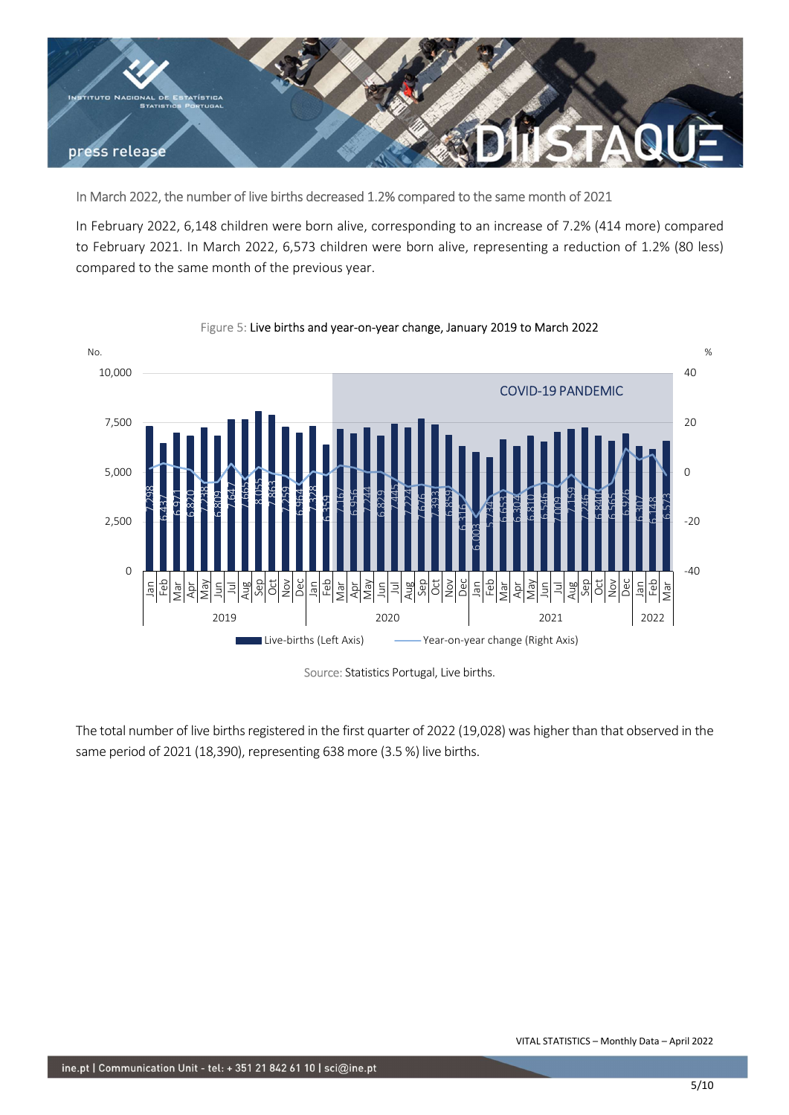

## In March 2022, the number of live births decreased 1.2% compared to the same month of 2021

In February 2022, 6,148 children were born alive, corresponding to an increase of 7.2% (414 more) compared to February 2021. In March 2022, 6,573 children were born alive, representing a reduction of 1.2% (80 less) compared to the same month of the previous year.



#### Figure 5: Live births and year-on-year change, January 2019 to March 2022

Source: Statistics Portugal, Live births.

The total number of live births registered in the first quarter of 2022 (19,028) was higher than that observed in the same period of 2021 (18,390), representing 638 more (3.5 %) live births.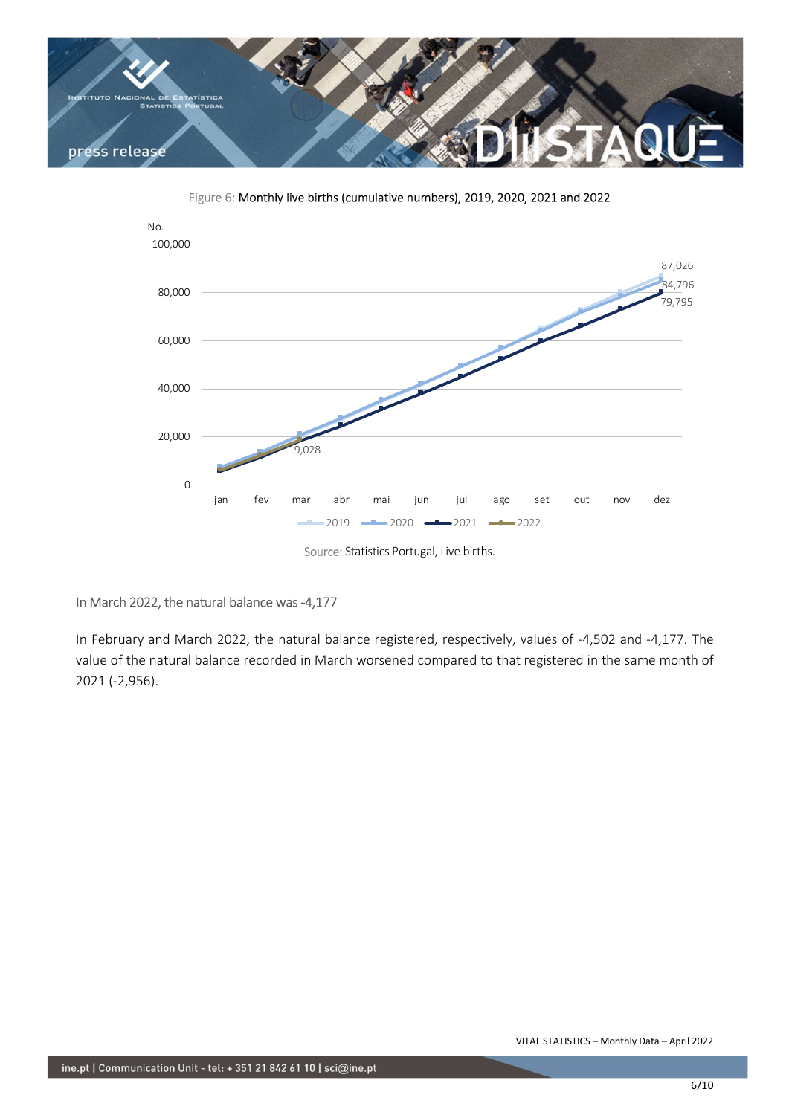

Figure 6: Monthly live births (cumulative numbers), 2019, 2020, 2021 and 2022



Source: Statistics Portugal, Live births.

# In March 2022, the natural balance was -4,177

In February and March 2022, the natural balance registered, respectively, values of -4,502 and -4,177. The value of the natural balance recorded in March worsened compared to that registered in the same month of 2021 (-2,956).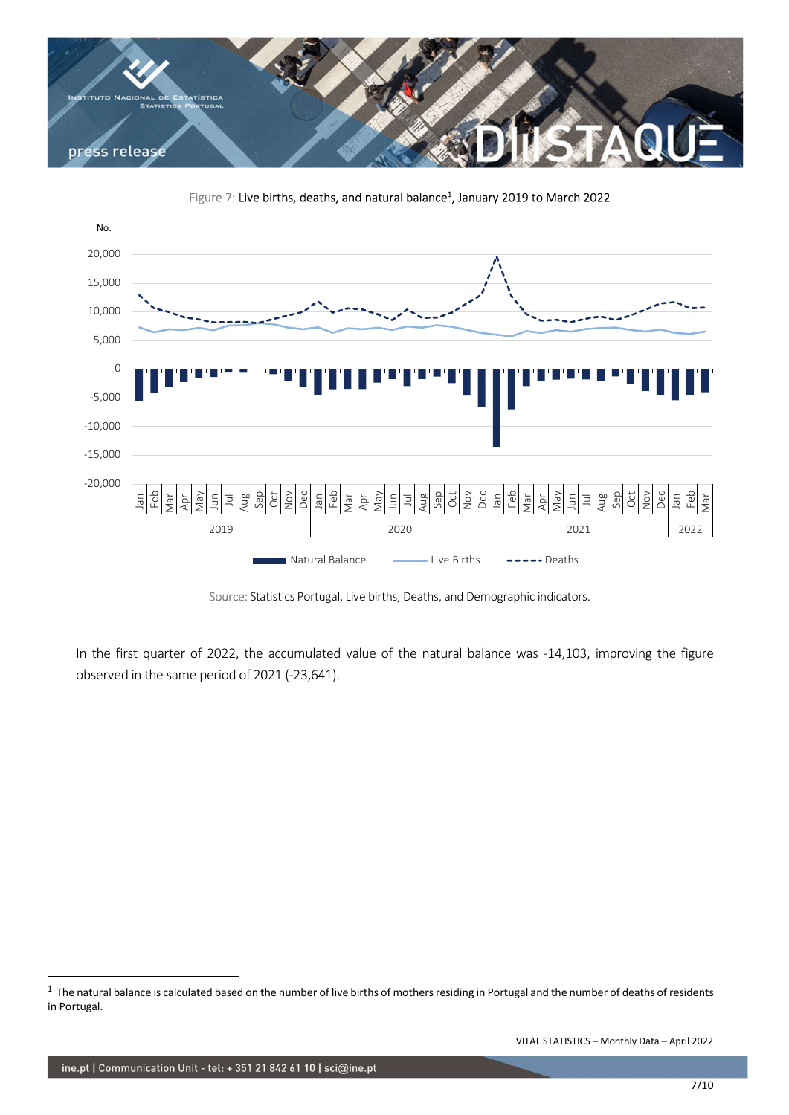

Figure 7: Live births, deaths, and natural balance<sup>1</sup>, January 2019 to March 2022



Source: Statistics Portugal, Live births, Deaths, and Demographic indicators.

In the first quarter of 2022, the accumulated value of the natural balance was -14,103, improving the figure observed in the same period of 2021 (-23,641).

 $1$  The natural balance is calculated based on the number of live births of mothers residing in Portugal and the number of deaths of residents in Portugal.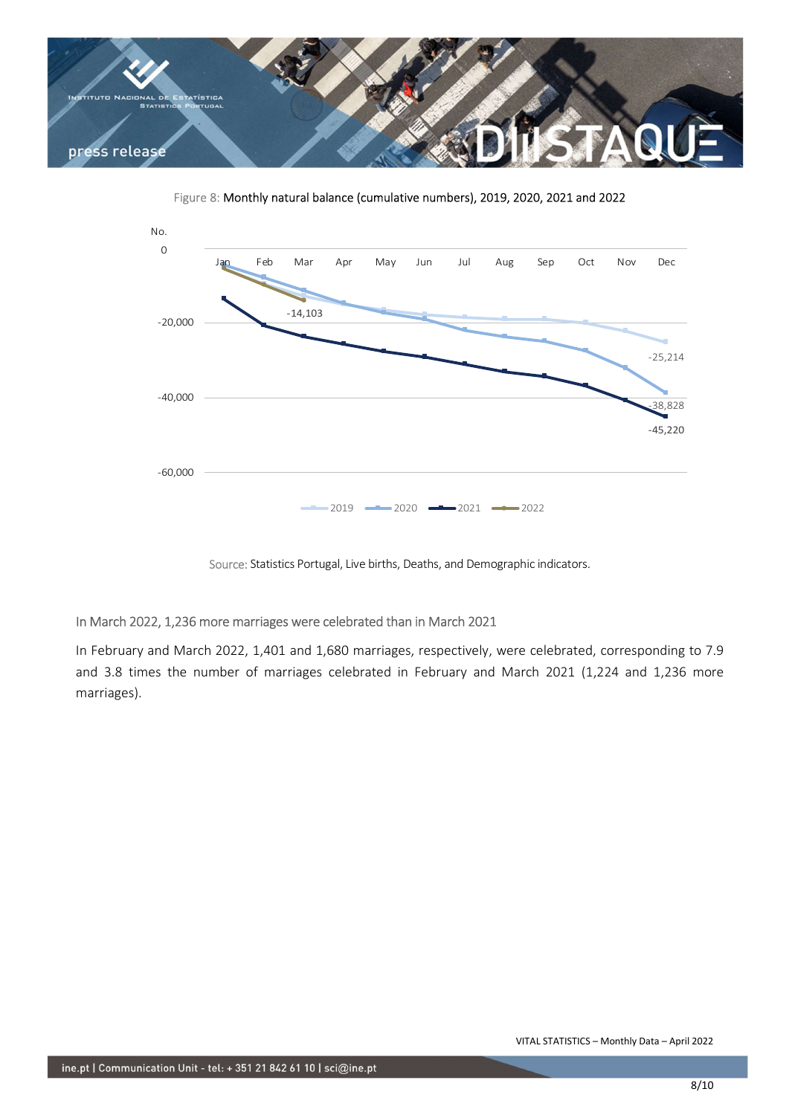

Figure 8: Monthly natural balance (cumulative numbers), 2019, 2020, 2021 and 2022



Source: Statistics Portugal, Live births, Deaths, and Demographic indicators.

# In March 2022, 1,236 more marriages were celebrated than in March 2021

In February and March 2022, 1,401 and 1,680 marriages, respectively, were celebrated, corresponding to 7.9 and 3.8 times the number of marriages celebrated in February and March 2021 (1,224 and 1,236 more marriages).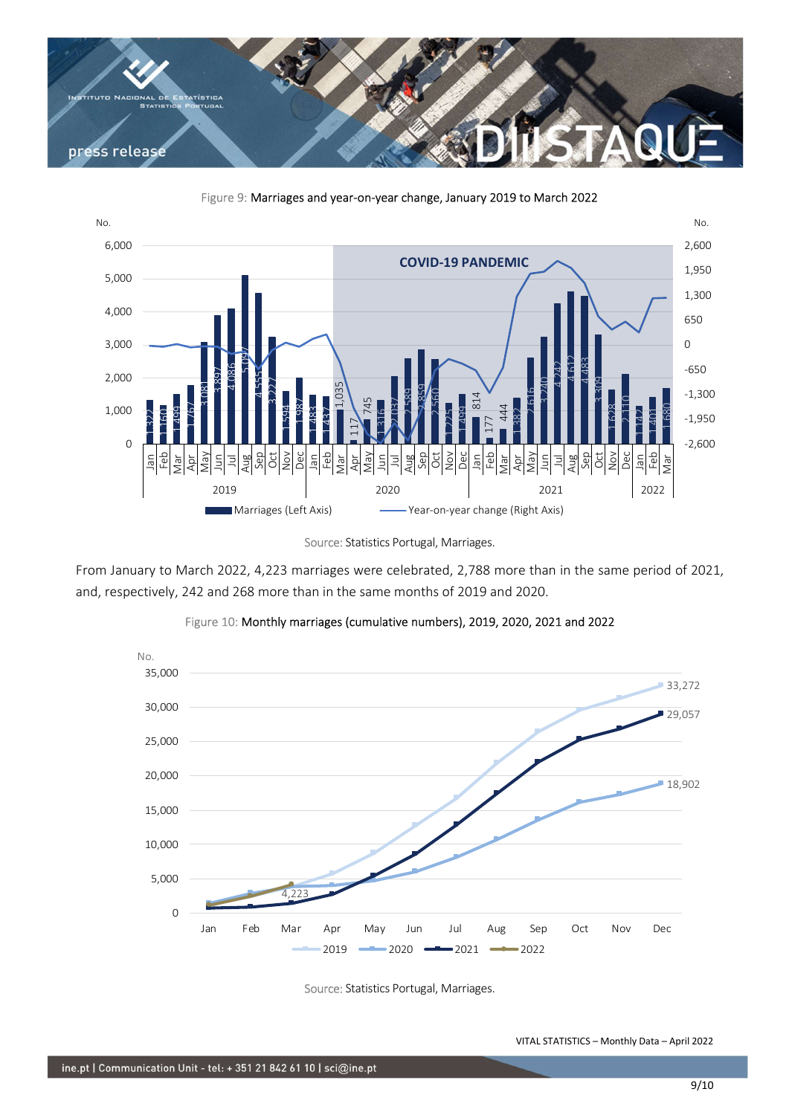



Figure 9: Marriages and year-on-year change, January 2019 to March 2022

From January to March 2022, 4,223 marriages were celebrated, 2,788 more than in the same period of 2021, and, respectively, 242 and 268 more than in the same months of 2019 and 2020.





Source: Statistics Portugal, Marriages.